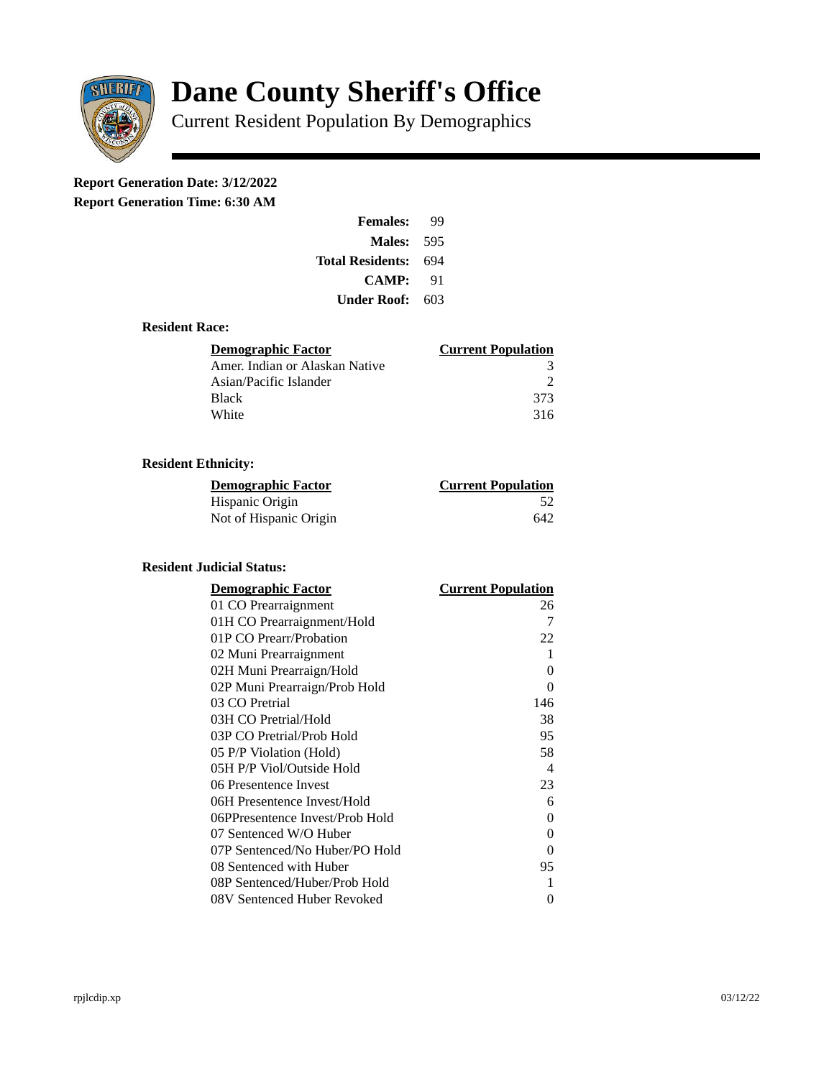

# **Dane County Sheriff's Office**

Current Resident Population By Demographics

# **Report Generation Date: 3/12/2022**

**Report Generation Time: 6:30 AM** 

| <b>Females:</b>         | qq  |
|-------------------------|-----|
| Males:                  | 595 |
| <b>Total Residents:</b> | 694 |
| <b>CAMP:</b>            | 91  |
| Under Roof:             | 603 |

## **Resident Race:**

| Demographic Factor             | <b>Current Population</b> |
|--------------------------------|---------------------------|
| Amer. Indian or Alaskan Native |                           |
| Asian/Pacific Islander         | כי                        |
| <b>Black</b>                   | 373                       |
| White                          | 316                       |

# **Resident Ethnicity:**

| <u>Demographic Factor</u> | <b>Current Population</b> |
|---------------------------|---------------------------|
| Hispanic Origin           | -52                       |
| Not of Hispanic Origin    | 642                       |

#### **Resident Judicial Status:**

| <b>Demographic Factor</b>       | <b>Current Population</b>  |
|---------------------------------|----------------------------|
| 01 CO Prearraignment            | 26                         |
| 01H CO Prearraignment/Hold      | 7                          |
| 01P CO Prearr/Probation         | 22                         |
| 02 Muni Prearraignment          | 1                          |
| 02H Muni Prearraign/Hold        | 0                          |
| 02P Muni Prearraign/Prob Hold   | 0                          |
| 03 CO Pretrial                  | 146                        |
| 03H CO Pretrial/Hold            | 38                         |
| 03P CO Pretrial/Prob Hold       | 95                         |
| 05 P/P Violation (Hold)         | 58                         |
| 05H P/P Viol/Outside Hold       | $\boldsymbol{\mathcal{A}}$ |
| 06 Presentence Invest           | 23                         |
| 06H Presentence Invest/Hold     | 6                          |
| 06PPresentence Invest/Prob Hold | 0                          |
| 07 Sentenced W/O Huber          | 0                          |
| 07P Sentenced/No Huber/PO Hold  | 0                          |
| 08 Sentenced with Huber         | 95                         |
| 08P Sentenced/Huber/Prob Hold   | 1                          |
| 08V Sentenced Huber Revoked     | 0                          |